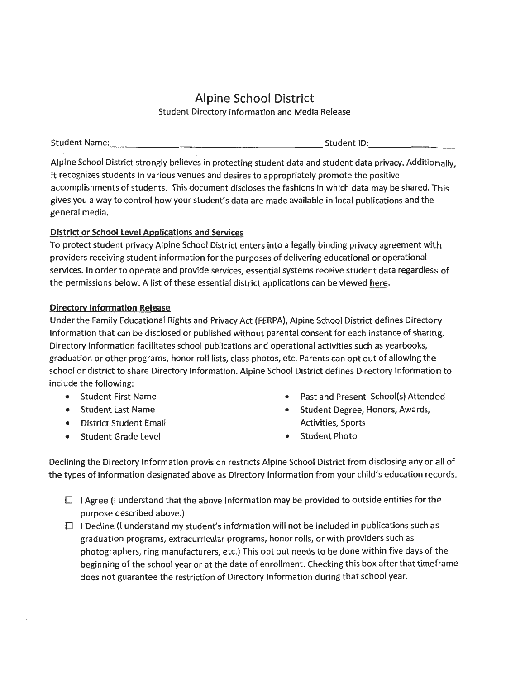## Alpine School District Student Directory Information and Media Release

Student Name: Student ID: -------------------- --------

Alpine School District strongly believes in protecting student data and student data privacy. Additionally, it recognizes students in various venues and desires to appropriately promote the positive accomplishments of students. This document discloses the fashions in which data may be shared. This gives you a way to control how your student's data are made available in local publications and the general media.

## **District or School Level Applications and Services**

To protect student privacy Alpine School District enters into a legally binding privacy agreement with providers receiving student information for the purposes of delivering educational or operational services. In order to operate and provide services, essential systems receive student data regardless of the permissions below. A list of these essential district applications can be viewed here.

## **Directory Information Release**

Under the Family Educational Rights and Privacy Act (FERPA), Alpine School District defines Directory Information that can be disclosed or published without parental consent for each instance of sharing. Directory Information facilitates school publications and operational activities such as yearbooks, graduation or other programs, honor roll lists, class photos, etc. Parents can opt out of allowing the school or district to share Directory Information. Alpine School District defines Directory Information to include the following:

- Student First Name
- Student Last Name
- District Student Email
- Student Grade Level
- Past and Present School(s) Attended
- Student Degree, Honors, Awards, Activities, Sports
- **Student Photo**

Declining the Directory Information provision restricts Alpine School District from disclosing any or all of the types of information designated above as Directory Information from your child's education records.

- $\Box$  I Agree (I understand that the above Information may be provided to outside entities for the purpose described above.)
- $\Box$  I Decline (I understand my student's information will not be included in publications such as graduation programs, extracurricular programs, honor rolls, or with providers such as photographers, ring manufacturers, etc.) This opt out needs to be done within five days of the beginning of the school year or at the date of enrollment. Checking this box after that timeframe does not guarantee the restriction of Directory Information during that school year.